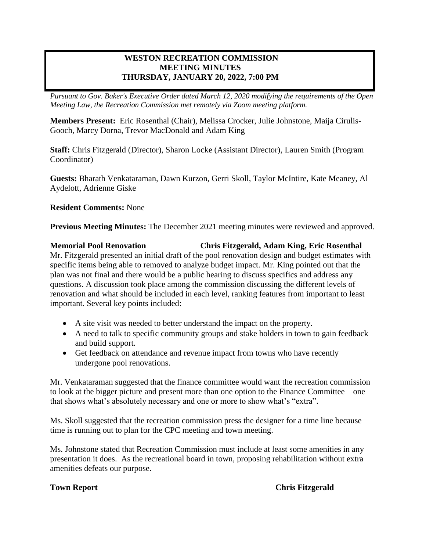# **WESTON RECREATION COMMISSION MEETING MINUTES THURSDAY, JANUARY 20, 2022, 7:00 PM**

*Pursuant to Gov. Baker's Executive Order dated March 12, 2020 modifying the requirements of the Open Meeting Law, the Recreation Commission met remotely via Zoom meeting platform.*

**Members Present:** Eric Rosenthal (Chair), Melissa Crocker, Julie Johnstone, Maija Cirulis-Gooch, Marcy Dorna, Trevor MacDonald and Adam King

**Staff:** Chris Fitzgerald (Director), Sharon Locke (Assistant Director), Lauren Smith (Program Coordinator)

**Guests:** Bharath Venkataraman, Dawn Kurzon, Gerri Skoll, Taylor McIntire, Kate Meaney, Al Aydelott, Adrienne Giske

**Resident Comments:** None

**Previous Meeting Minutes:** The December 2021 meeting minutes were reviewed and approved.

**Memorial Pool Renovation Chris Fitzgerald, Adam King, Eric Rosenthal** Mr. Fitzgerald presented an initial draft of the pool renovation design and budget estimates with specific items being able to removed to analyze budget impact. Mr. King pointed out that the plan was not final and there would be a public hearing to discuss specifics and address any questions. A discussion took place among the commission discussing the different levels of renovation and what should be included in each level, ranking features from important to least important. Several key points included:

- A site visit was needed to better understand the impact on the property.
- A need to talk to specific community groups and stake holders in town to gain feedback and build support.
- Get feedback on attendance and revenue impact from towns who have recently undergone pool renovations.

Mr. Venkataraman suggested that the finance committee would want the recreation commission to look at the bigger picture and present more than one option to the Finance Committee – one that shows what's absolutely necessary and one or more to show what's "extra".

Ms. Skoll suggested that the recreation commission press the designer for a time line because time is running out to plan for the CPC meeting and town meeting.

Ms. Johnstone stated that Recreation Commission must include at least some amenities in any presentation it does. As the recreational board in town, proposing rehabilitation without extra amenities defeats our purpose.

**Town Report Chris Fitzgerald**